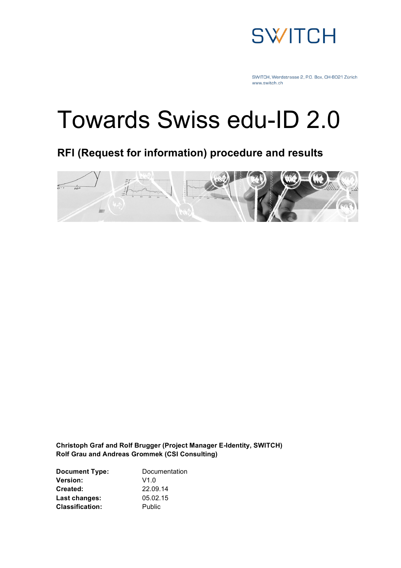

# Towards Swiss edu-ID 2.0

**RFI (Request for information) procedure and results**



**Christoph Graf and Rolf Brugger (Project Manager E-Identity, SWITCH) Rolf Grau and Andreas Grommek (CSI Consulting)**

| Documentation |
|---------------|
| V1.0          |
| 22.09.14      |
| 05.02.15      |
| Public        |
|               |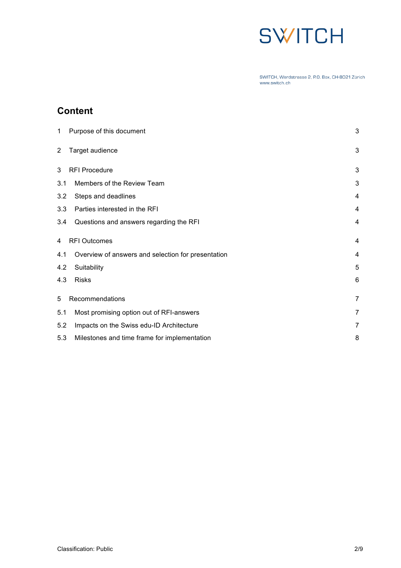## **SWITCH**

SWITCH, Werdstrasse 2, P.O. Box, CH-8021 Zürich www.switch.ch

## **Content**

| 1.             | Purpose of this document                           | $\mathbf{3}$   |
|----------------|----------------------------------------------------|----------------|
| $\overline{2}$ | Target audience                                    | $\sqrt{3}$     |
| 3              | <b>RFI Procedure</b>                               | 3              |
| 3.1            | Members of the Review Team                         | 3              |
| 3.2            | Steps and deadlines                                | 4              |
| 3.3            | Parties interested in the RFI                      | 4              |
| 3.4            | Questions and answers regarding the RFI            | $\overline{4}$ |
| 4              | <b>RFI Outcomes</b>                                | $\overline{4}$ |
| 4.1            | Overview of answers and selection for presentation | 4              |
| 4.2            | Suitability                                        | 5              |
| 4.3            | <b>Risks</b>                                       | 6              |
| 5              | Recommendations                                    | $\overline{7}$ |
| 5.1            | Most promising option out of RFI-answers           | $\overline{7}$ |
| 5.2            | Impacts on the Swiss edu-ID Architecture           | 7              |
| 5.3            | Milestones and time frame for implementation       | 8              |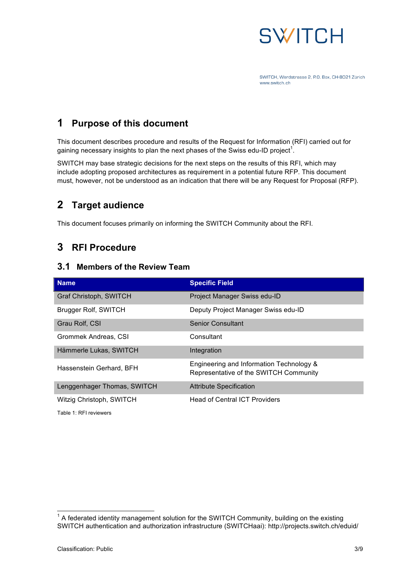

## **1 Purpose of this document**

This document describes procedure and results of the Request for Information (RFI) carried out for gaining necessary insights to plan the next phases of the Swiss edu-ID project<sup>1</sup>.

SWITCH may base strategic decisions for the next steps on the results of this RFI, which may include adopting proposed architectures as requirement in a potential future RFP. This document must, however, not be understood as an indication that there will be any Request for Proposal (RFP).

## **2 Target audience**

This document focuses primarily on informing the SWITCH Community about the RFI.

### **3 RFI Procedure**

#### **3.1 Members of the Review Team**

| <b>Name</b>                 | <b>Specific Field</b>                                                              |
|-----------------------------|------------------------------------------------------------------------------------|
| Graf Christoph, SWITCH      | Project Manager Swiss edu-ID                                                       |
| Brugger Rolf, SWITCH        | Deputy Project Manager Swiss edu-ID                                                |
| Grau Rolf, CSI              | <b>Senior Consultant</b>                                                           |
| Grommek Andreas, CSI        | Consultant                                                                         |
| Hämmerle Lukas, SWITCH      | Integration                                                                        |
| Hassenstein Gerhard, BFH    | Engineering and Information Technology &<br>Representative of the SWITCH Community |
| Lenggenhager Thomas, SWITCH | <b>Attribute Specification</b>                                                     |
| Witzig Christoph, SWITCH    | <b>Head of Central ICT Providers</b>                                               |
| Table 1: RFI reviewers      |                                                                                    |

 $1/1$  A federated identity management solution for the SWITCH Community, building on the existing SWITCH authentication and authorization infrastructure (SWITCHaai): http://projects.switch.ch/eduid/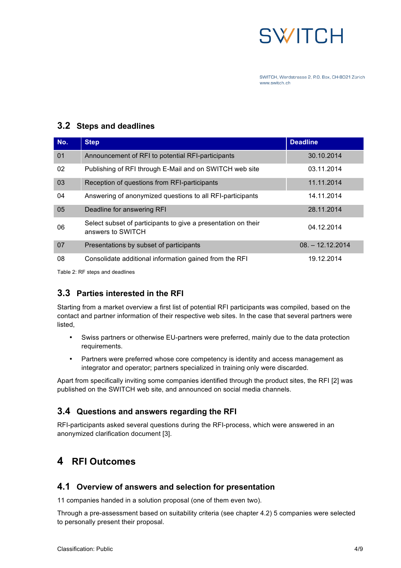

#### **3.2 Steps and deadlines**

| No. | <b>Step</b>                                                                        | <b>Deadline</b>    |
|-----|------------------------------------------------------------------------------------|--------------------|
| 01  | Announcement of RFI to potential RFI-participants                                  | 30.10.2014         |
| 02  | Publishing of RFI through E-Mail and on SWITCH web site                            | 03.11.2014         |
| 03  | Reception of questions from RFI-participants                                       | 11.11.2014         |
| 04  | Answering of anonymized questions to all RFI-participants                          | 14.11.2014         |
| 05  | Deadline for answering RFI                                                         | 28.11.2014         |
| 06  | Select subset of participants to give a presentation on their<br>answers to SWITCH | 04.12.2014         |
| 07  | Presentations by subset of participants                                            | $08. - 12.12.2014$ |
| 08  | Consolidate additional information gained from the RFI                             | 19.12.2014         |

Table 2: RF steps and deadlines

#### **3.3 Parties interested in the RFI**

Starting from a market overview a first list of potential RFI participants was compiled, based on the contact and partner information of their respective web sites. In the case that several partners were listed,

- Swiss partners or otherwise EU-partners were preferred, mainly due to the data protection requirements.
- Partners were preferred whose core competency is identity and access management as integrator and operator; partners specialized in training only were discarded.

Apart from specifically inviting some companies identified through the product sites, the RFI [2] was published on the SWITCH web site, and announced on social media channels.

#### **3.4 Questions and answers regarding the RFI**

RFI-participants asked several questions during the RFI-process, which were answered in an anonymized clarification document [3].

## **4 RFI Outcomes**

#### **4.1 Overview of answers and selection for presentation**

11 companies handed in a solution proposal (one of them even two).

Through a pre-assessment based on suitability criteria (see chapter 4.2) 5 companies were selected to personally present their proposal.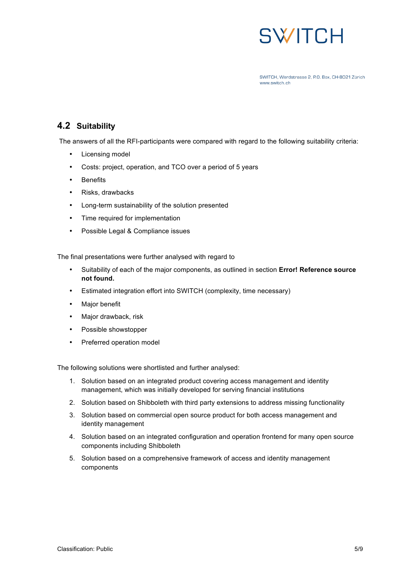

#### **4.2 Suitability**

The answers of all the RFI-participants were compared with regard to the following suitability criteria:

- Licensing model
- Costs: project, operation, and TCO over a period of 5 years
- Benefits
- Risks, drawbacks
- Long-term sustainability of the solution presented
- Time required for implementation
- Possible Legal & Compliance issues

The final presentations were further analysed with regard to

- Suitability of each of the major components, as outlined in section **Error! Reference source not found.**
- Estimated integration effort into SWITCH (complexity, time necessary)
- Major benefit
- Major drawback, risk
- Possible showstopper
- Preferred operation model

The following solutions were shortlisted and further analysed:

- 1. Solution based on an integrated product covering access management and identity management, which was initially developed for serving financial institutions
- 2. Solution based on Shibboleth with third party extensions to address missing functionality
- 3. Solution based on commercial open source product for both access management and identity management
- 4. Solution based on an integrated configuration and operation frontend for many open source components including Shibboleth
- 5. Solution based on a comprehensive framework of access and identity management components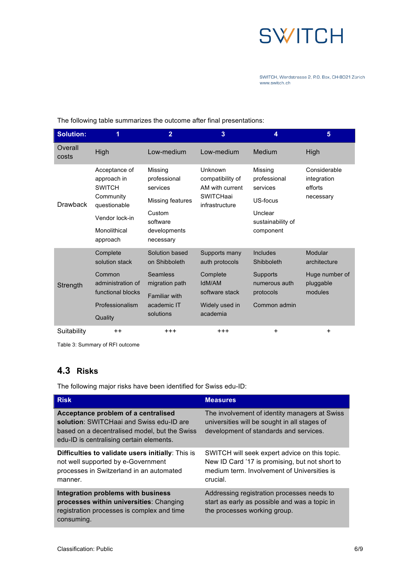

| <b>Solution:</b> |                                                                                                                          | $\overline{2}$                                                                                             | 3                                                                                    | 4                                                                                            | 5                                                   |
|------------------|--------------------------------------------------------------------------------------------------------------------------|------------------------------------------------------------------------------------------------------------|--------------------------------------------------------------------------------------|----------------------------------------------------------------------------------------------|-----------------------------------------------------|
| Overall<br>costs | High                                                                                                                     | Low-medium                                                                                                 | Low-medium                                                                           | Medium                                                                                       | High                                                |
| <b>Drawback</b>  | Acceptance of<br>approach in<br><b>SWITCH</b><br>Community<br>questionable<br>Vendor lock-in<br>Monolithical<br>approach | Missing<br>professional<br>services<br>Missing features<br>Custom<br>software<br>developments<br>necessary | Unknown<br>compatibility of<br>AM with current<br><b>SWITCHaai</b><br>infrastructure | Missing<br>professional<br>services<br>US-focus<br>Unclear<br>sustainability of<br>component | Considerable<br>integration<br>efforts<br>necessary |
|                  | Complete<br>solution stack                                                                                               | Solution based<br>on Shibboleth                                                                            | Supports many<br>auth protocols                                                      | <b>Includes</b><br>Shibboleth                                                                | Modular<br>architecture                             |
| Strength         | Common<br>administration of<br>functional blocks                                                                         | Seamless<br>migration path<br><b>Familiar with</b>                                                         | Complete<br>IdM/AM<br>software stack                                                 | Supports<br>numerous auth<br>protocols                                                       | Huge number of<br>pluggable<br>modules              |
|                  | Professionalism<br>Quality                                                                                               | academic IT<br>solutions                                                                                   | Widely used in<br>academia                                                           | Common admin                                                                                 |                                                     |
| Suitability      | $++$                                                                                                                     | $+ + +$                                                                                                    | $+ + +$                                                                              | $\ddot{}$                                                                                    | $\ddot{}$                                           |

The following table summarizes the outcome after final presentations:

Table 3: Summary of RFI outcome

#### **4.3 Risks**

The following major risks have been identified for Swiss edu-ID:

| <b>Risk</b>                                                                                                                                                                  | <b>Measures</b>                                                                                                                                            |
|------------------------------------------------------------------------------------------------------------------------------------------------------------------------------|------------------------------------------------------------------------------------------------------------------------------------------------------------|
| Acceptance problem of a centralised<br>solution: SWITCHaai and Swiss edu-ID are<br>based on a decentralised model, but the Swiss<br>edu-ID is centralising certain elements. | The involvement of identity managers at Swiss<br>universities will be sought in all stages of<br>development of standards and services.                    |
| Difficulties to validate users initially: This is<br>not well supported by e-Government<br>processes in Switzerland in an automated<br>manner.                               | SWITCH will seek expert advice on this topic.<br>New ID Card '17 is promising, but not short to<br>medium term. Involvement of Universities is<br>crucial. |
| Integration problems with business<br>processes within universities: Changing<br>registration processes is complex and time<br>consuming.                                    | Addressing registration processes needs to<br>start as early as possible and was a topic in<br>the processes working group.                                |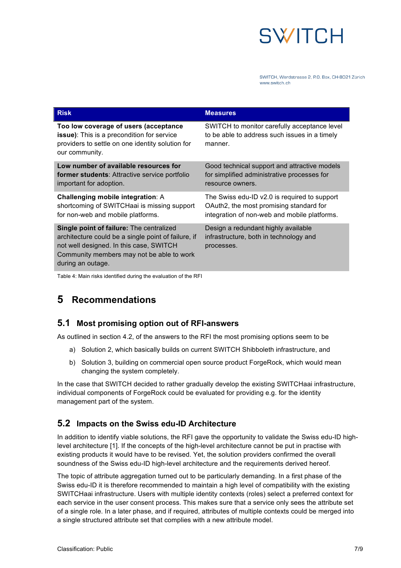

| <b>Risk</b>                                                                                                                                                                                                  | <b>Measures</b>                                                                                                                         |
|--------------------------------------------------------------------------------------------------------------------------------------------------------------------------------------------------------------|-----------------------------------------------------------------------------------------------------------------------------------------|
| Too low coverage of users (acceptance<br><b>issue)</b> : This is a precondition for service<br>providers to settle on one identity solution for<br>our community.                                            | SWITCH to monitor carefully acceptance level<br>to be able to address such issues in a timely<br>manner.                                |
| Low number of available resources for<br><b>former students:</b> Attractive service portfolio<br>important for adoption.                                                                                     | Good technical support and attractive models<br>for simplified administrative processes for<br>resource owners.                         |
| Challenging mobile integration: A<br>shortcoming of SWITCHaai is missing support<br>for non-web and mobile platforms.                                                                                        | The Swiss edu-ID v2.0 is required to support<br>OAuth2, the most promising standard for<br>integration of non-web and mobile platforms. |
| Single point of failure: The centralized<br>architecture could be a single point of failure, if<br>not well designed. In this case, SWITCH<br>Community members may not be able to work<br>during an outage. | Design a redundant highly available<br>infrastructure, both in technology and<br>processes.                                             |

Table 4: Main risks identified during the evaluation of the RFI

## **5 Recommendations**

#### **5.1 Most promising option out of RFI-answers**

As outlined in section 4.2, of the answers to the RFI the most promising options seem to be

- a) Solution 2, which basically builds on current SWITCH Shibboleth infrastructure, and
- b) Solution 3, building on commercial open source product ForgeRock, which would mean changing the system completely.

In the case that SWITCH decided to rather gradually develop the existing SWITCHaai infrastructure, individual components of ForgeRock could be evaluated for providing e.g. for the identity management part of the system.

#### **5.2 Impacts on the Swiss edu-ID Architecture**

In addition to identify viable solutions, the RFI gave the opportunity to validate the Swiss edu-ID highlevel architecture [1]. If the concepts of the high-level architecture cannot be put in practise with existing products it would have to be revised. Yet, the solution providers confirmed the overall soundness of the Swiss edu-ID high-level architecture and the requirements derived hereof.

The topic of attribute aggregation turned out to be particularly demanding. In a first phase of the Swiss edu-ID it is therefore recommended to maintain a high level of compatibility with the existing SWITCHaai infrastructure. Users with multiple identity contexts (roles) select a preferred context for each service in the user consent process. This makes sure that a service only sees the attribute set of a single role. In a later phase, and if required, attributes of multiple contexts could be merged into a single structured attribute set that complies with a new attribute model.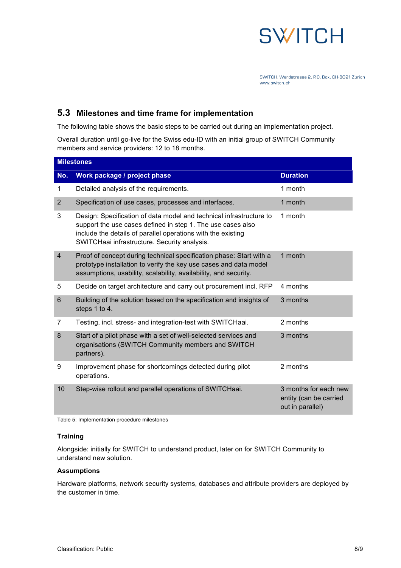

#### **5.3 Milestones and time frame for implementation**

The following table shows the basic steps to be carried out during an implementation project.

Overall duration until go-live for the Swiss edu-ID with an initial group of SWITCH Community members and service providers: 12 to 18 months.

| <b>Milestones</b> |                                                                                                                                                                                                                                                    |                                                                     |  |  |
|-------------------|----------------------------------------------------------------------------------------------------------------------------------------------------------------------------------------------------------------------------------------------------|---------------------------------------------------------------------|--|--|
| No.               | Work package / project phase                                                                                                                                                                                                                       | <b>Duration</b>                                                     |  |  |
| 1                 | Detailed analysis of the requirements.                                                                                                                                                                                                             | 1 month                                                             |  |  |
| $\overline{2}$    | Specification of use cases, processes and interfaces.                                                                                                                                                                                              | 1 month                                                             |  |  |
| 3                 | Design: Specification of data model and technical infrastructure to<br>support the use cases defined in step 1. The use cases also<br>include the details of parallel operations with the existing<br>SWITCHaai infrastructure. Security analysis. | 1 month                                                             |  |  |
| $\overline{4}$    | Proof of concept during technical specification phase: Start with a<br>prototype installation to verify the key use cases and data model<br>assumptions, usability, scalability, availability, and security.                                       | 1 month                                                             |  |  |
| 5                 | Decide on target architecture and carry out procurement incl. RFP                                                                                                                                                                                  | 4 months                                                            |  |  |
| $6\phantom{1}$    | Building of the solution based on the specification and insights of<br>steps 1 to 4.                                                                                                                                                               | 3 months                                                            |  |  |
| $\overline{7}$    | Testing, incl. stress- and integration-test with SWITCHaai.                                                                                                                                                                                        | 2 months                                                            |  |  |
| 8                 | Start of a pilot phase with a set of well-selected services and<br>organisations (SWITCH Community members and SWITCH<br>partners).                                                                                                                | 3 months                                                            |  |  |
| 9                 | Improvement phase for shortcomings detected during pilot<br>operations.                                                                                                                                                                            | 2 months                                                            |  |  |
| 10                | Step-wise rollout and parallel operations of SWITCHaai.                                                                                                                                                                                            | 3 months for each new<br>entity (can be carried<br>out in parallel) |  |  |

Table 5: Implementation procedure milestones

#### **Training**

Alongside: initially for SWITCH to understand product, later on for SWITCH Community to understand new solution.

#### **Assumptions**

Hardware platforms, network security systems, databases and attribute providers are deployed by the customer in time.